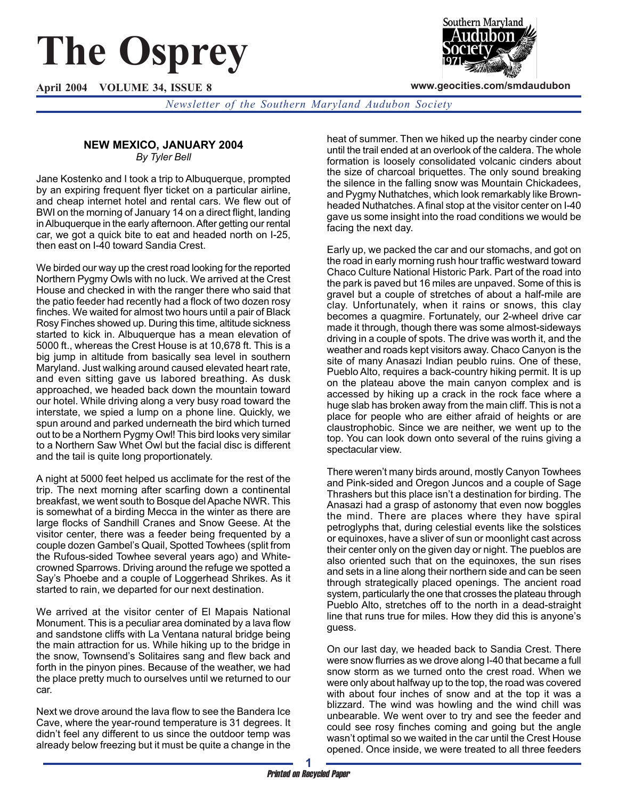# **The Osprey**

**April 2004 VOLUME 34, ISSUE 8**



**www.geocities.com/smdaudubon**

*Newsletter of the Southern Maryland Audubon Society*

### **NEW MEXICO, JANUARY 2004** *By Tyler Bell*

Jane Kostenko and I took a trip to Albuquerque, prompted by an expiring frequent flyer ticket on a particular airline, and cheap internet hotel and rental cars. We flew out of BWI on the morning of January 14 on a direct flight, landing in Albuquerque in the early afternoon. After getting our rental car, we got a quick bite to eat and headed north on I-25, then east on I-40 toward Sandia Crest.

We birded our way up the crest road looking for the reported Northern Pygmy Owls with no luck. We arrived at the Crest House and checked in with the ranger there who said that the patio feeder had recently had a flock of two dozen rosy finches. We waited for almost two hours until a pair of Black Rosy Finches showed up. During this time, altitude sickness started to kick in. Albuquerque has a mean elevation of 5000 ft., whereas the Crest House is at 10,678 ft. This is a big jump in altitude from basically sea level in southern Maryland. Just walking around caused elevated heart rate, and even sitting gave us labored breathing. As dusk approached, we headed back down the mountain toward our hotel. While driving along a very busy road toward the interstate, we spied a lump on a phone line. Quickly, we spun around and parked underneath the bird which turned out to be a Northern Pygmy Owl! This bird looks very similar to a Northern Saw Whet Owl but the facial disc is different and the tail is quite long proportionately.

A night at 5000 feet helped us acclimate for the rest of the trip. The next morning after scarfing down a continental breakfast, we went south to Bosque del Apache NWR. This is somewhat of a birding Mecca in the winter as there are large flocks of Sandhill Cranes and Snow Geese. At the visitor center, there was a feeder being frequented by a couple dozen Gambel's Quail, Spotted Towhees (split from the Rufous-sided Towhee several years ago) and Whitecrowned Sparrows. Driving around the refuge we spotted a Say's Phoebe and a couple of Loggerhead Shrikes. As it started to rain, we departed for our next destination.

We arrived at the visitor center of El Mapais National Monument. This is a peculiar area dominated by a lava flow and sandstone cliffs with La Ventana natural bridge being the main attraction for us. While hiking up to the bridge in the snow, Townsend's Solitaires sang and flew back and forth in the pinyon pines. Because of the weather, we had the place pretty much to ourselves until we returned to our car.

Next we drove around the lava flow to see the Bandera Ice Cave, where the year-round temperature is 31 degrees. It didn't feel any different to us since the outdoor temp was already below freezing but it must be quite a change in the

heat of summer. Then we hiked up the nearby cinder cone until the trail ended at an overlook of the caldera. The whole formation is loosely consolidated volcanic cinders about the size of charcoal briquettes. The only sound breaking the silence in the falling snow was Mountain Chickadees, and Pygmy Nuthatches, which look remarkably like Brownheaded Nuthatches. A final stop at the visitor center on I-40 gave us some insight into the road conditions we would be facing the next day.

Early up, we packed the car and our stomachs, and got on the road in early morning rush hour traffic westward toward Chaco Culture National Historic Park. Part of the road into the park is paved but 16 miles are unpaved. Some of this is gravel but a couple of stretches of about a half-mile are clay. Unfortunately, when it rains or snows, this clay becomes a quagmire. Fortunately, our 2-wheel drive car made it through, though there was some almost-sideways driving in a couple of spots. The drive was worth it, and the weather and roads kept visitors away. Chaco Canyon is the site of many Anasazi Indian peublo ruins. One of these, Pueblo Alto, requires a back-country hiking permit. It is up on the plateau above the main canyon complex and is accessed by hiking up a crack in the rock face where a huge slab has broken away from the main cliff. This is not a place for people who are either afraid of heights or are claustrophobic. Since we are neither, we went up to the top. You can look down onto several of the ruins giving a spectacular view.

There weren't many birds around, mostly Canyon Towhees and Pink-sided and Oregon Juncos and a couple of Sage Thrashers but this place isn't a destination for birding. The Anasazi had a grasp of astonomy that even now boggles the mind. There are places where they have spiral petroglyphs that, during celestial events like the solstices or equinoxes, have a sliver of sun or moonlight cast across their center only on the given day or night. The pueblos are also oriented such that on the equinoxes, the sun rises and sets in a line along their northern side and can be seen through strategically placed openings. The ancient road system, particularly the one that crosses the plateau through Pueblo Alto, stretches off to the north in a dead-straight line that runs true for miles. How they did this is anyone's guess.

On our last day, we headed back to Sandia Crest. There were snow flurries as we drove along I-40 that became a full snow storm as we turned onto the crest road. When we were only about halfway up to the top, the road was covered with about four inches of snow and at the top it was a blizzard. The wind was howling and the wind chill was unbearable. We went over to try and see the feeder and could see rosy finches coming and going but the angle wasn't optimal so we waited in the car until the Crest House opened. Once inside, we were treated to all three feeders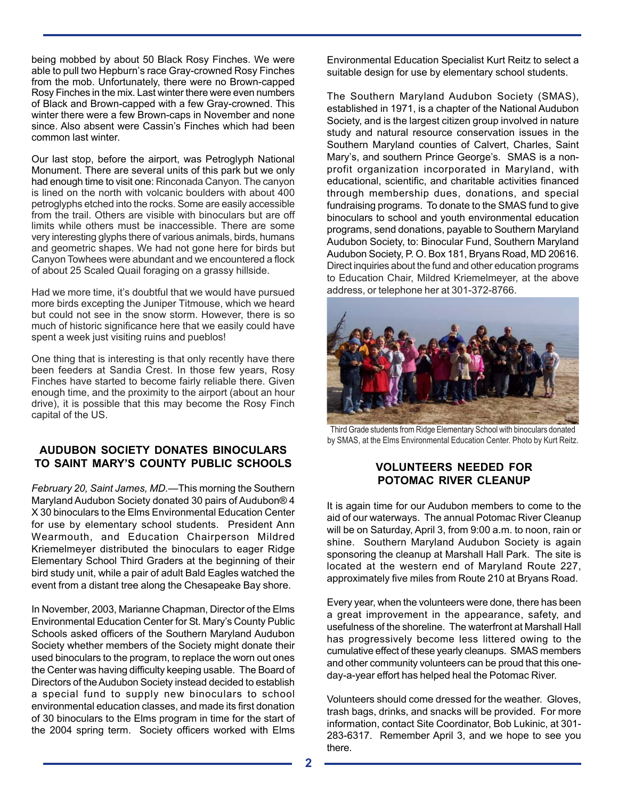being mobbed by about 50 Black Rosy Finches. We were able to pull two Hepburn's race Gray-crowned Rosy Finches from the mob. Unfortunately, there were no Brown-capped Rosy Finches in the mix. Last winter there were even numbers of Black and Brown-capped with a few Gray-crowned. This winter there were a few Brown-caps in November and none since. Also absent were Cassin's Finches which had been common last winter.

Our last stop, before the airport, was Petroglyph National Monument. There are several units of this park but we only had enough time to visit one: Rinconada Canyon. The canyon is lined on the north with volcanic boulders with about 400 petroglyphs etched into the rocks. Some are easily accessible from the trail. Others are visible with binoculars but are off limits while others must be inaccessible. There are some very interesting glyphs there of various animals, birds, humans and geometric shapes. We had not gone here for birds but Canyon Towhees were abundant and we encountered a flock of about 25 Scaled Quail foraging on a grassy hillside.

Had we more time, it's doubtful that we would have pursued more birds excepting the Juniper Titmouse, which we heard but could not see in the snow storm. However, there is so much of historic significance here that we easily could have spent a week just visiting ruins and pueblos!

One thing that is interesting is that only recently have there been feeders at Sandia Crest. In those few years, Rosy Finches have started to become fairly reliable there. Given enough time, and the proximity to the airport (about an hour drive), it is possible that this may become the Rosy Finch capital of the US.

# **AUDUBON SOCIETY DONATES BINOCULARS TO SAINT MARY'S COUNTY PUBLIC SCHOOLS**

*February 20, Saint James, MD.—*This morning the Southern Maryland Audubon Society donated 30 pairs of Audubon® 4 X 30 binoculars to the Elms Environmental Education Center for use by elementary school students. President Ann Wearmouth, and Education Chairperson Mildred Kriemelmeyer distributed the binoculars to eager Ridge Elementary School Third Graders at the beginning of their bird study unit, while a pair of adult Bald Eagles watched the event from a distant tree along the Chesapeake Bay shore.

In November, 2003, Marianne Chapman, Director of the Elms Environmental Education Center for St. Mary's County Public Schools asked officers of the Southern Maryland Audubon Society whether members of the Society might donate their used binoculars to the program, to replace the worn out ones the Center was having difficulty keeping usable. The Board of Directors of the Audubon Society instead decided to establish a special fund to supply new binoculars to school environmental education classes, and made its first donation of 30 binoculars to the Elms program in time for the start of the 2004 spring term. Society officers worked with Elms Environmental Education Specialist Kurt Reitz to select a suitable design for use by elementary school students.

The Southern Maryland Audubon Society (SMAS), established in 1971, is a chapter of the National Audubon Society, and is the largest citizen group involved in nature study and natural resource conservation issues in the Southern Maryland counties of Calvert, Charles, Saint Mary's, and southern Prince George's. SMAS is a nonprofit organization incorporated in Maryland, with educational, scientific, and charitable activities financed through membership dues, donations, and special fundraising programs. To donate to the SMAS fund to give binoculars to school and youth environmental education programs, send donations, payable to Southern Maryland Audubon Society, to: Binocular Fund, Southern Maryland Audubon Society, P. O. Box 181, Bryans Road, MD 20616. Direct inquiries about the fund and other education programs to Education Chair, Mildred Kriemelmeyer, at the above address, or telephone her at 301-372-8766.



Third Grade students from Ridge Elementary School with binoculars donated by SMAS, at the Elms Environmental Education Center. Photo by Kurt Reitz.

# **VOLUNTEERS NEEDED FOR POTOMAC RIVER CLEANUP**

It is again time for our Audubon members to come to the aid of our waterways. The annual Potomac River Cleanup will be on Saturday, April 3, from 9:00 a.m. to noon, rain or shine. Southern Maryland Audubon Society is again sponsoring the cleanup at Marshall Hall Park. The site is located at the western end of Maryland Route 227, approximately five miles from Route 210 at Bryans Road.

Every year, when the volunteers were done, there has been a great improvement in the appearance, safety, and usefulness of the shoreline. The waterfront at Marshall Hall has progressively become less littered owing to the cumulative effect of these yearly cleanups. SMAS members and other community volunteers can be proud that this oneday-a-year effort has helped heal the Potomac River.

Volunteers should come dressed for the weather. Gloves, trash bags, drinks, and snacks will be provided. For more information, contact Site Coordinator, Bob Lukinic, at 301- 283-6317. Remember April 3, and we hope to see you there.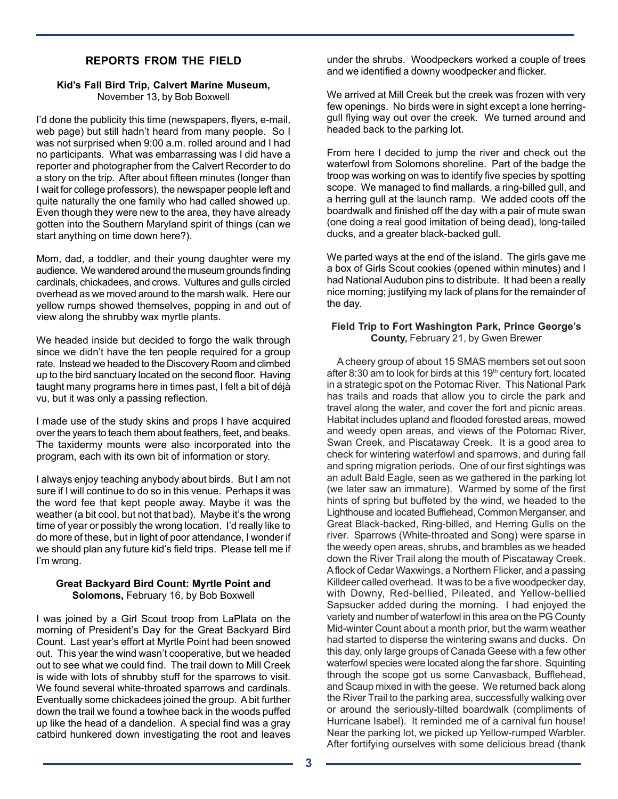# **REPORTS FROM THE FIELD**

#### **Kid's Fall Bird Trip, Calvert Marine Museum,** November 13, by Bob Boxwell

I'd done the publicity this time (newspapers, flyers, e-mail, web page) but still hadn't heard from many people. So I was not surprised when 9:00 a.m. rolled around and I had no participants. What was embarrassing was I did have a reporter and photographer from the Calvert Recorder to do a story on the trip. After about fifteen minutes (longer than I wait for college professors), the newspaper people left and quite naturally the one family who had called showed up. Even though they were new to the area, they have already gotten into the Southern Maryland spirit of things (can we start anything on time down here?).

Mom, dad, a toddler, and their young daughter were my audience. We wandered around the museum grounds finding cardinals, chickadees, and crows. Vultures and gulls circled overhead as we moved around to the marsh walk. Here our yellow rumps showed themselves, popping in and out of view along the shrubby wax myrtle plants.

We headed inside but decided to forgo the walk through since we didn't have the ten people required for a group rate. Instead we headed to the Discovery Room and climbed up to the bird sanctuary located on the second floor. Having taught many programs here in times past, I felt a bit of déjà vu, but it was only a passing reflection.

I made use of the study skins and props I have acquired over the years to teach them about feathers, feet, and beaks. The taxidermy mounts were also incorporated into the program, each with its own bit of information or story.

I always enjoy teaching anybody about birds. But I am not sure if I will continue to do so in this venue. Perhaps it was the word fee that kept people away. Maybe it was the weather (a bit cool, but not that bad). Maybe it's the wrong time of year or possibly the wrong location. I'd really like to do more of these, but in light of poor attendance, I wonder if we should plan any future kid's field trips. Please tell me if I'm wrong.

#### **Great Backyard Bird Count: Myrtle Point and Solomons,** February 16, by Bob Boxwell

I was joined by a Girl Scout troop from LaPlata on the morning of President's Day for the Great Backyard Bird Count. Last year's effort at Myrtle Point had been snowed out. This year the wind wasn't cooperative, but we headed out to see what we could find. The trail down to Mill Creek is wide with lots of shrubby stuff for the sparrows to visit. We found several white-throated sparrows and cardinals. Eventually some chickadees joined the group. A bit further down the trail we found a towhee back in the woods puffed up like the head of a dandelion. A special find was a gray catbird hunkered down investigating the root and leaves under the shrubs. Woodpeckers worked a couple of trees and we identified a downy woodpecker and flicker.

We arrived at Mill Creek but the creek was frozen with very few openings. No birds were in sight except a lone herringgull flying way out over the creek. We turned around and headed back to the parking lot.

From here I decided to jump the river and check out the waterfowl from Solomons shoreline. Part of the badge the troop was working on was to identify five species by spotting scope. We managed to find mallards, a ring-billed gull, and a herring gull at the launch ramp. We added coots off the boardwalk and finished off the day with a pair of mute swan (one doing a real good imitation of being dead), long-tailed ducks, and a greater black-backed gull.

We parted ways at the end of the island. The girls gave me a box of Girls Scout cookies (opened within minutes) and I had National Audubon pins to distribute. It had been a really nice morning; justifying my lack of plans for the remainder of the day.

#### **Field Trip to Fort Washington Park, Prince George's County,** February 21, by Gwen Brewer

 A cheery group of about 15 SMAS members set out soon after 8:30 am to look for birds at this  $19<sup>th</sup>$  century fort, located in a strategic spot on the Potomac River. This National Park has trails and roads that allow you to circle the park and travel along the water, and cover the fort and picnic areas. Habitat includes upland and flooded forested areas, mowed and weedy open areas, and views of the Potomac River, Swan Creek, and Piscataway Creek. It is a good area to check for wintering waterfowl and sparrows, and during fall and spring migration periods. One of our first sightings was an adult Bald Eagle, seen as we gathered in the parking lot (we later saw an immature). Warmed by some of the first hints of spring but buffeted by the wind, we headed to the Lighthouse and located Bufflehead, Common Merganser, and Great Black-backed, Ring-billed, and Herring Gulls on the river. Sparrows (White-throated and Song) were sparse in the weedy open areas, shrubs, and brambles as we headed down the River Trail along the mouth of Piscataway Creek. A flock of Cedar Waxwings, a Northern Flicker, and a passing Killdeer called overhead. It was to be a five woodpecker day, with Downy, Red-bellied, Pileated, and Yellow-bellied Sapsucker added during the morning. I had enjoyed the variety and number of waterfowl in this area on the PG County Mid-winter Count about a month prior, but the warm weather had started to disperse the wintering swans and ducks. On this day, only large groups of Canada Geese with a few other waterfowl species were located along the far shore. Squinting through the scope got us some Canvasback, Bufflehead, and Scaup mixed in with the geese. We returned back along the River Trail to the parking area, successfully walking over or around the seriously-tilted boardwalk (compliments of Hurricane Isabel). It reminded me of a carnival fun house! Near the parking lot, we picked up Yellow-rumped Warbler. After fortifying ourselves with some delicious bread (thank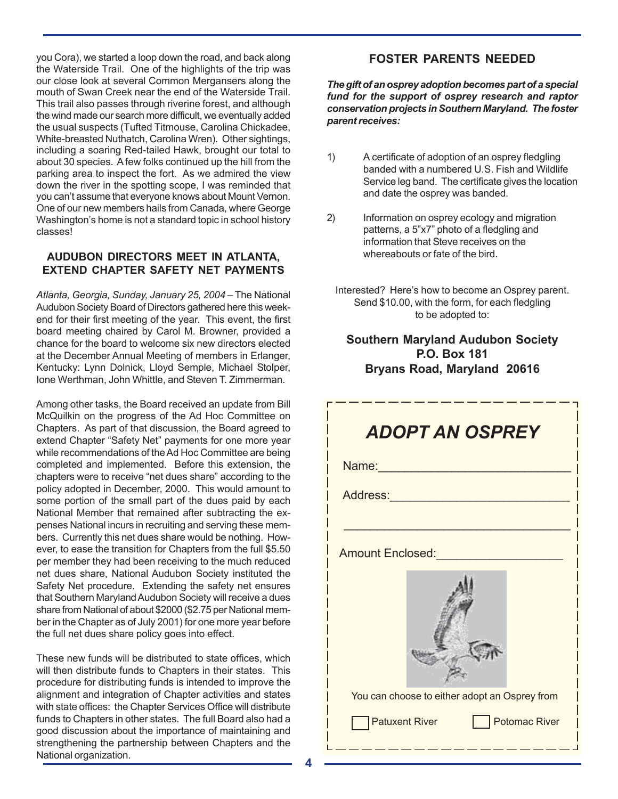you Cora), we started a loop down the road, and back along the Waterside Trail. One of the highlights of the trip was our close look at several Common Mergansers along the mouth of Swan Creek near the end of the Waterside Trail. This trail also passes through riverine forest, and although the wind made our search more difficult, we eventually added the usual suspects (Tufted Titmouse, Carolina Chickadee, White-breasted Nuthatch, Carolina Wren). Other sightings, including a soaring Red-tailed Hawk, brought our total to about 30 species. A few folks continued up the hill from the parking area to inspect the fort. As we admired the view down the river in the spotting scope, I was reminded that you can't assume that everyone knows about Mount Vernon. One of our new members hails from Canada, where George Washington's home is not a standard topic in school history classes!

# **AUDUBON DIRECTORS MEET IN ATLANTA, EXTEND CHAPTER SAFETY NET PAYMENTS**

*Atlanta, Georgia, Sunday, January 25, 2004* – The National Audubon Society Board of Directors gathered here this weekend for their first meeting of the year. This event, the first board meeting chaired by Carol M. Browner, provided a chance for the board to welcome six new directors elected at the December Annual Meeting of members in Erlanger, Kentucky: Lynn Dolnick, Lloyd Semple, Michael Stolper, Ione Werthman, John Whittle, and Steven T. Zimmerman.

Among other tasks, the Board received an update from Bill McQuilkin on the progress of the Ad Hoc Committee on Chapters. As part of that discussion, the Board agreed to extend Chapter "Safety Net" payments for one more year while recommendations of the Ad Hoc Committee are being completed and implemented. Before this extension, the chapters were to receive "net dues share" according to the policy adopted in December, 2000. This would amount to some portion of the small part of the dues paid by each National Member that remained after subtracting the expenses National incurs in recruiting and serving these members. Currently this net dues share would be nothing. However, to ease the transition for Chapters from the full \$5.50 per member they had been receiving to the much reduced net dues share, National Audubon Society instituted the Safety Net procedure. Extending the safety net ensures that Southern Maryland Audubon Society will receive a dues share from National of about \$2000 (\$2.75 per National member in the Chapter as of July 2001) for one more year before the full net dues share policy goes into effect.

These new funds will be distributed to state offices, which will then distribute funds to Chapters in their states. This procedure for distributing funds is intended to improve the alignment and integration of Chapter activities and states with state offices: the Chapter Services Office will distribute funds to Chapters in other states. The full Board also had a good discussion about the importance of maintaining and strengthening the partnership between Chapters and the National organization.

# **FOSTER PARENTS NEEDED**

*The gift of an osprey adoption becomes part of a special fund for the support of osprey research and raptor conservation projects in Southern Maryland. The foster parent receives:*

- 1) A certificate of adoption of an osprey fledgling banded with a numbered U.S. Fish and Wildlife Service leg band. The certificate gives the location and date the osprey was banded.
- 2) Information on osprey ecology and migration patterns, a 5"x7" photo of a fledgling and information that Steve receives on the whereabouts or fate of the bird.
	- Interested? Here's how to become an Osprey parent. Send \$10.00, with the form, for each fledgling to be adopted to:

# **Southern Maryland Audubon Society P.O. Box 181 Bryans Road, Maryland 20616**

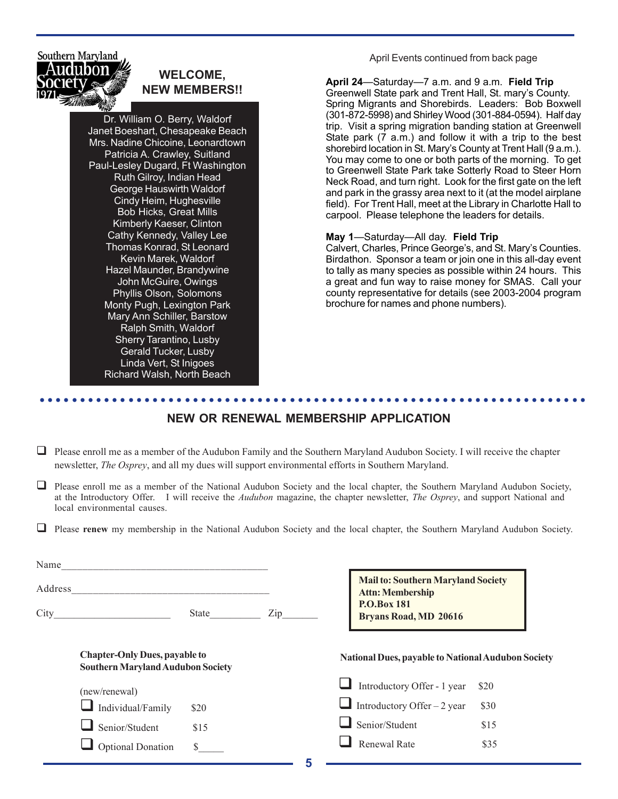Southern Maryland

# **WELCOME,**

Dr. William O. Berry, Waldorf Janet Boeshart, Chesapeake Beach Mrs. Nadine Chicoine, Leonardtown Patricia A. Crawley, Suitland Paul-Lesley Dugard, Ft Washington Ruth Gilroy, Indian Head George Hauswirth Waldorf Cindy Heim, Hughesville Bob Hicks, Great Mills Kimberly Kaeser, Clinton Cathy Kennedy, Valley Lee Thomas Konrad, St Leonard Kevin Marek, Waldorf Hazel Maunder, Brandywine John McGuire, Owings Phyllis Olson, Solomons Monty Pugh, Lexington Park Mary Ann Schiller, Barstow Ralph Smith, Waldorf Sherry Tarantino, Lusby Gerald Tucker, Lusby Linda Vert, St Inigoes Richard Walsh, North Beach

April Events continued from back page

**NEW MEMBERS!! April 24**—Saturday—7 a.m. and 9 a.m. **Field Trip**<br>**April 24**—Saturday—7 a.m. and 9 a.m. **Field Trip**<br>**Greenwell State park and Trent Hall St. mary's Court** Greenwell State park and Trent Hall, St. mary's County. Spring Migrants and Shorebirds. Leaders: Bob Boxwell (301-872-5998) and Shirley Wood (301-884-0594). Half day trip. Visit a spring migration banding station at Greenwell State park (7 a.m.) and follow it with a trip to the best shorebird location in St. Mary's County at Trent Hall (9 a.m.). You may come to one or both parts of the morning. To get to Greenwell State Park take Sotterly Road to Steer Horn Neck Road, and turn right. Look for the first gate on the left and park in the grassy area next to it (at the model airplane field). For Trent Hall, meet at the Library in Charlotte Hall to carpool. Please telephone the leaders for details.

#### **May 1**—Saturday—All day. **Field Trip**

Calvert, Charles, Prince George's, and St. Mary's Counties. Birdathon. Sponsor a team or join one in this all-day event to tally as many species as possible within 24 hours. This a great and fun way to raise money for SMAS. Call your county representative for details (see 2003-2004 program brochure for names and phone numbers).

# **NEW OR RENEWAL MEMBERSHIP APPLICATION**

○○○○○○○○○○○○○○○○○○○○○○○○○○○○○○○○○○○○○○○○○○○○○○○○○○○○○○○○○○○○○○○○○○○○

- $\Box$  Please enroll me as a member of the Audubon Family and the Southern Maryland Audubon Society. I will receive the chapter newsletter, *The Osprey*, and all my dues will support environmental efforts in Southern Maryland.
- $\Box$  Please enroll me as a member of the National Audubon Society and the local chapter, the Southern Maryland Audubon Society, at the Introductory Offer.I will receive the *Audubon* magazine, the chapter newsletter, *The Osprey*, and support National and local environmental causes.

**Please renew** my membership in the National Audubon Society and the local chapter, the Southern Maryland Audubon Society.

| Name    |                                                                                  |       |                                                           | <b>Mail to: Southern Maryland Society</b>          |      |
|---------|----------------------------------------------------------------------------------|-------|-----------------------------------------------------------|----------------------------------------------------|------|
| Address |                                                                                  |       |                                                           | <b>Attn: Membership</b>                            |      |
| City    |                                                                                  | State | Zip                                                       | <b>P.O.Box 181</b><br><b>Bryans Road, MD 20616</b> |      |
|         | <b>Chapter-Only Dues, payable to</b><br><b>Southern Maryland Audubon Society</b> |       | <b>National Dues, payable to National Audubon Society</b> |                                                    |      |
|         | (new/renewal)                                                                    |       |                                                           | Introductory Offer - 1 year                        | \$20 |
|         | $\Box$ Individual/Family                                                         | \$20  |                                                           | Introductory Offer $-2$ year                       | \$30 |
|         | Senior/Student                                                                   | \$15  |                                                           | Senior/Student                                     | \$15 |
|         | <b>Optional Donation</b>                                                         |       |                                                           | <b>Renewal Rate</b>                                | \$35 |
|         |                                                                                  |       |                                                           |                                                    |      |